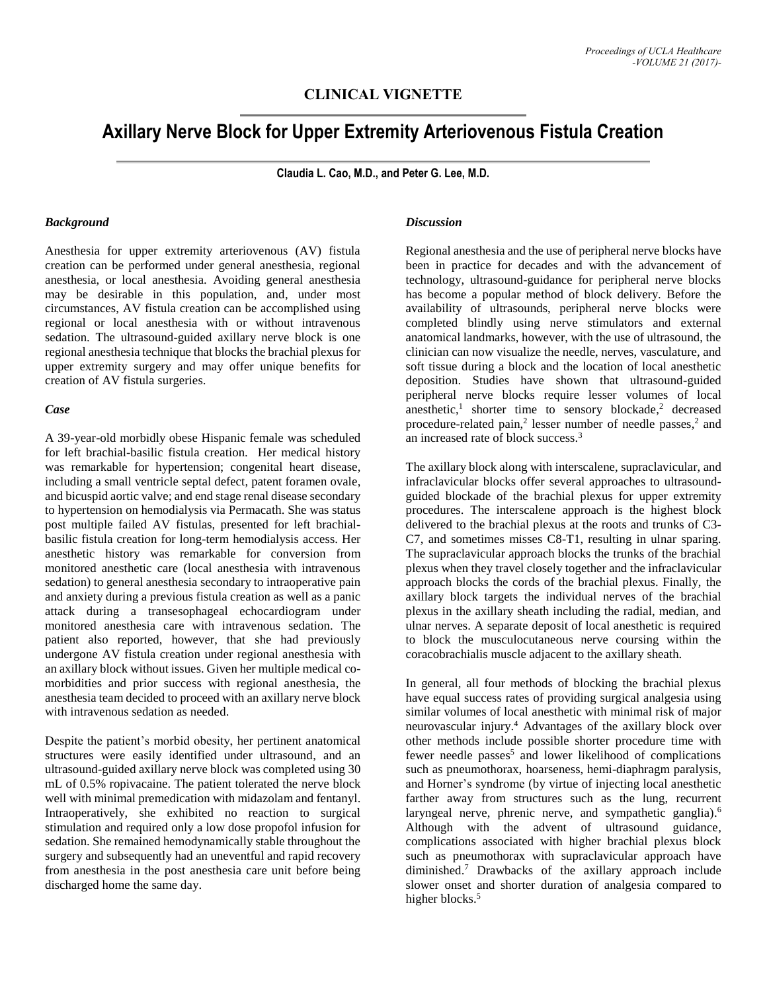## **CLINICAL VIGNETTE**

# **Axillary Nerve Block for Upper Extremity Arteriovenous Fistula Creation**

**Claudia L. Cao, M.D., and Peter G. Lee, M.D.**

#### *Background*

Anesthesia for upper extremity arteriovenous (AV) fistula creation can be performed under general anesthesia, regional anesthesia, or local anesthesia. Avoiding general anesthesia may be desirable in this population, and, under most circumstances, AV fistula creation can be accomplished using regional or local anesthesia with or without intravenous sedation. The ultrasound-guided axillary nerve block is one regional anesthesia technique that blocks the brachial plexus for upper extremity surgery and may offer unique benefits for creation of AV fistula surgeries.

#### *Case*

A 39-year-old morbidly obese Hispanic female was scheduled for left brachial-basilic fistula creation. Her medical history was remarkable for hypertension; congenital heart disease, including a small ventricle septal defect, patent foramen ovale, and bicuspid aortic valve; and end stage renal disease secondary to hypertension on hemodialysis via Permacath. She was status post multiple failed AV fistulas, presented for left brachialbasilic fistula creation for long-term hemodialysis access. Her anesthetic history was remarkable for conversion from monitored anesthetic care (local anesthesia with intravenous sedation) to general anesthesia secondary to intraoperative pain and anxiety during a previous fistula creation as well as a panic attack during a transesophageal echocardiogram under monitored anesthesia care with intravenous sedation. The patient also reported, however, that she had previously undergone AV fistula creation under regional anesthesia with an axillary block without issues. Given her multiple medical comorbidities and prior success with regional anesthesia, the anesthesia team decided to proceed with an axillary nerve block with intravenous sedation as needed.

Despite the patient's morbid obesity, her pertinent anatomical structures were easily identified under ultrasound, and an ultrasound-guided axillary nerve block was completed using 30 mL of 0.5% ropivacaine. The patient tolerated the nerve block well with minimal premedication with midazolam and fentanyl. Intraoperatively, she exhibited no reaction to surgical stimulation and required only a low dose propofol infusion for sedation. She remained hemodynamically stable throughout the surgery and subsequently had an uneventful and rapid recovery from anesthesia in the post anesthesia care unit before being discharged home the same day.

#### *Discussion*

Regional anesthesia and the use of peripheral nerve blocks have been in practice for decades and with the advancement of technology, ultrasound-guidance for peripheral nerve blocks has become a popular method of block delivery. Before the availability of ultrasounds, peripheral nerve blocks were completed blindly using nerve stimulators and external anatomical landmarks, however, with the use of ultrasound, the clinician can now visualize the needle, nerves, vasculature, and soft tissue during a block and the location of local anesthetic deposition. Studies have shown that ultrasound-guided peripheral nerve blocks require lesser volumes of local anesthetic, 1 shorter time to sensory blockade, <sup>2</sup> decreased procedure-related pain, 2 lesser number of needle passes, 2 and an increased rate of block success. 3

The axillary block along with interscalene, supraclavicular, and infraclavicular blocks offer several approaches to ultrasoundguided blockade of the brachial plexus for upper extremity procedures. The interscalene approach is the highest block delivered to the brachial plexus at the roots and trunks of C3- C7, and sometimes misses C8-T1, resulting in ulnar sparing. The supraclavicular approach blocks the trunks of the brachial plexus when they travel closely together and the infraclavicular approach blocks the cords of the brachial plexus. Finally, the axillary block targets the individual nerves of the brachial plexus in the axillary sheath including the radial, median, and ulnar nerves. A separate deposit of local anesthetic is required to block the musculocutaneous nerve coursing within the coracobrachialis muscle adjacent to the axillary sheath.

In general, all four methods of blocking the brachial plexus have equal success rates of providing surgical analgesia using similar volumes of local anesthetic with minimal risk of major neurovascular injury. <sup>4</sup> Advantages of the axillary block over other methods include possible shorter procedure time with fewer needle passes<sup>5</sup> and lower likelihood of complications such as pneumothorax, hoarseness, hemi-diaphragm paralysis, and Horner's syndrome (by virtue of injecting local anesthetic farther away from structures such as the lung, recurrent laryngeal nerve, phrenic nerve, and sympathetic ganglia).<sup>6</sup> Although with the advent of ultrasound guidance, complications associated with higher brachial plexus block such as pneumothorax with supraclavicular approach have diminished. <sup>7</sup> Drawbacks of the axillary approach include slower onset and shorter duration of analgesia compared to higher blocks.<sup>5</sup>